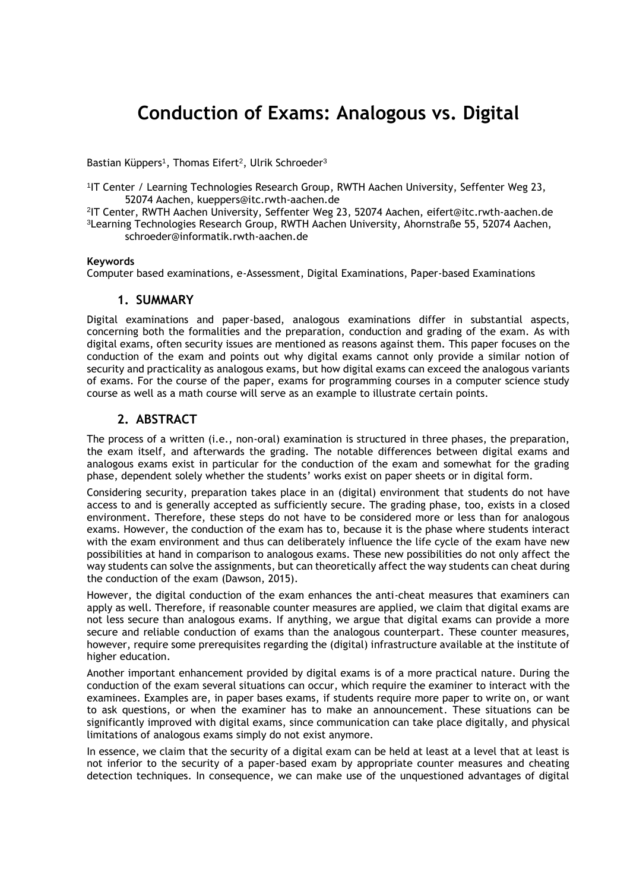# **Conduction of Exams: Analogous vs. Digital**

Bastian Küppers<sup>1</sup>, Thomas Eifert<sup>2</sup>, Ulrik Schroeder<sup>3</sup>

1 IT Center / Learning Technologies Research Group, RWTH Aachen University, Seffenter Weg 23, 52074 Aachen, kueppers@itc.rwth-aachen.de

2 IT Center, RWTH Aachen University, Seffenter Weg 23, 52074 Aachen, eifert@itc.rwth-aachen.de <sup>3</sup>Learning Technologies Research Group, RWTH Aachen University, Ahornstraße 55, 52074 Aachen, schroeder@informatik.rwth-aachen.de

#### **Keywords**

Computer based examinations, e-Assessment, Digital Examinations, Paper-based Examinations

#### **1. SUMMARY**

Digital examinations and paper-based, analogous examinations differ in substantial aspects, concerning both the formalities and the preparation, conduction and grading of the exam. As with digital exams, often security issues are mentioned as reasons against them. This paper focuses on the conduction of the exam and points out why digital exams cannot only provide a similar notion of security and practicality as analogous exams, but how digital exams can exceed the analogous variants of exams. For the course of the paper, exams for programming courses in a computer science study course as well as a math course will serve as an example to illustrate certain points.

#### **2. ABSTRACT**

The process of a written (i.e., non-oral) examination is structured in three phases, the preparation, the exam itself, and afterwards the grading. The notable differences between digital exams and analogous exams exist in particular for the conduction of the exam and somewhat for the grading phase, dependent solely whether the students' works exist on paper sheets or in digital form.

Considering security, preparation takes place in an (digital) environment that students do not have access to and is generally accepted as sufficiently secure. The grading phase, too, exists in a closed environment. Therefore, these steps do not have to be considered more or less than for analogous exams. However, the conduction of the exam has to, because it is the phase where students interact with the exam environment and thus can deliberately influence the life cycle of the exam have new possibilities at hand in comparison to analogous exams. These new possibilities do not only affect the way students can solve the assignments, but can theoretically affect the way students can cheat during the conduction of the exam (Dawson, 2015).

However, the digital conduction of the exam enhances the anti-cheat measures that examiners can apply as well. Therefore, if reasonable counter measures are applied, we claim that digital exams are not less secure than analogous exams. If anything, we argue that digital exams can provide a more secure and reliable conduction of exams than the analogous counterpart. These counter measures, however, require some prerequisites regarding the (digital) infrastructure available at the institute of higher education.

Another important enhancement provided by digital exams is of a more practical nature. During the conduction of the exam several situations can occur, which require the examiner to interact with the examinees. Examples are, in paper bases exams, if students require more paper to write on, or want to ask questions, or when the examiner has to make an announcement. These situations can be significantly improved with digital exams, since communication can take place digitally, and physical limitations of analogous exams simply do not exist anymore.

In essence, we claim that the security of a digital exam can be held at least at a level that at least is not inferior to the security of a paper-based exam by appropriate counter measures and cheating detection techniques. In consequence, we can make use of the unquestioned advantages of digital